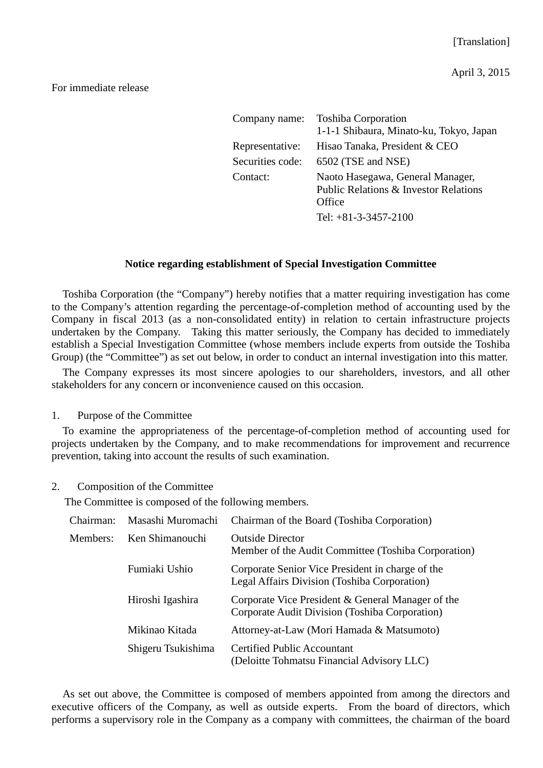## For immediate release

| Company name:    | <b>Toshiba Corporation</b><br>1-1-1 Shibaura, Minato-ku, Tokyo, Japan                          |
|------------------|------------------------------------------------------------------------------------------------|
| Representative:  | Hisao Tanaka, President & CEO                                                                  |
| Securities code: | 6502 (TSE and NSE)                                                                             |
| Contact:         | Naoto Hasegawa, General Manager,<br><b>Public Relations &amp; Investor Relations</b><br>Office |
|                  | Tel: $+81-3-3457-2100$                                                                         |

## **Notice regarding establishment of Special Investigation Committee**

Toshiba Corporation (the "Company") hereby notifies that a matter requiring investigation has come to the Company's attention regarding the percentage-of-completion method of accounting used by the Company in fiscal 2013 (as a non-consolidated entity) in relation to certain infrastructure projects undertaken by the Company. Taking this matter seriously, the Company has decided to immediately establish a Special Investigation Committee (whose members include experts from outside the Toshiba Group) (the "Committee") as set out below, in order to conduct an internal investigation into this matter.

The Company expresses its most sincere apologies to our shareholders, investors, and all other stakeholders for any concern or inconvenience caused on this occasion.

1. Purpose of the Committee

To examine the appropriateness of the percentage-of-completion method of accounting used for projects undertaken by the Company, and to make recommendations for improvement and recurrence prevention, taking into account the results of such examination.

2. Composition of the Committee

The Committee is composed of the following members.

| Chairman: | Masashi Muromachi  | Chairman of the Board (Toshiba Corporation)                                                         |
|-----------|--------------------|-----------------------------------------------------------------------------------------------------|
| Members:  | Ken Shimanouchi    | <b>Outside Director</b><br>Member of the Audit Committee (Toshiba Corporation)                      |
|           | Fumiaki Ushio      | Corporate Senior Vice President in charge of the<br>Legal Affairs Division (Toshiba Corporation)    |
|           | Hiroshi Igashira   | Corporate Vice President & General Manager of the<br>Corporate Audit Division (Toshiba Corporation) |
|           | Mikinao Kitada     | Attorney-at-Law (Mori Hamada & Matsumoto)                                                           |
|           | Shigeru Tsukishima | <b>Certified Public Accountant</b><br>(Deloitte Tohmatsu Financial Advisory LLC)                    |

As set out above, the Committee is composed of members appointed from among the directors and executive officers of the Company, as well as outside experts. From the board of directors, which performs a supervisory role in the Company as a company with committees, the chairman of the board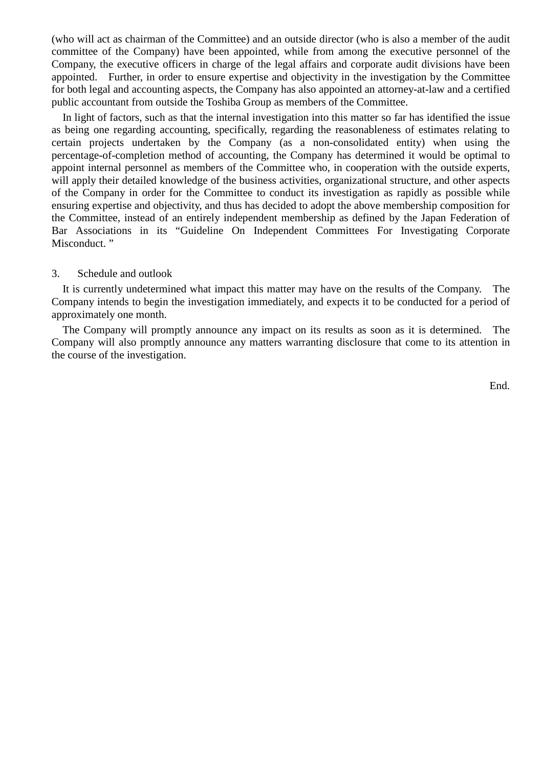(who will act as chairman of the Committee) and an outside director (who is also a member of the audit committee of the Company) have been appointed, while from among the executive personnel of the Company, the executive officers in charge of the legal affairs and corporate audit divisions have been appointed. Further, in order to ensure expertise and objectivity in the investigation by the Committee for both legal and accounting aspects, the Company has also appointed an attorney-at-law and a certified public accountant from outside the Toshiba Group as members of the Committee.

In light of factors, such as that the internal investigation into this matter so far has identified the issue as being one regarding accounting, specifically, regarding the reasonableness of estimates relating to certain projects undertaken by the Company (as a non-consolidated entity) when using the percentage-of-completion method of accounting, the Company has determined it would be optimal to appoint internal personnel as members of the Committee who, in cooperation with the outside experts, will apply their detailed knowledge of the business activities, organizational structure, and other aspects of the Company in order for the Committee to conduct its investigation as rapidly as possible while ensuring expertise and objectivity, and thus has decided to adopt the above membership composition for the Committee, instead of an entirely independent membership as defined by the Japan Federation of Bar Associations in its "Guideline On Independent Committees For Investigating Corporate Misconduct."

## 3. Schedule and outlook

It is currently undetermined what impact this matter may have on the results of the Company. The Company intends to begin the investigation immediately, and expects it to be conducted for a period of approximately one month.

The Company will promptly announce any impact on its results as soon as it is determined. The Company will also promptly announce any matters warranting disclosure that come to its attention in the course of the investigation.

End.